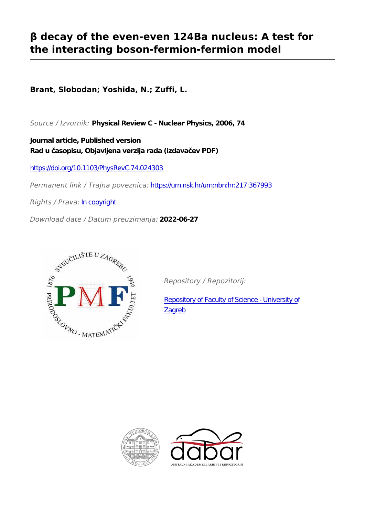# **β decay of the even-even 124Ba nucleus: A test for the interacting boson-fermion-fermion model**

**Brant, Slobodan; Yoshida, N.; Zuffi, L.**

*Source / Izvornik:* **Physical Review C - Nuclear Physics, 2006, 74**

**Journal article, Published version Rad u časopisu, Objavljena verzija rada (izdavačev PDF)**

<https://doi.org/10.1103/PhysRevC.74.024303>

*Permanent link / Trajna poveznica:* <https://urn.nsk.hr/urn:nbn:hr:217:367993>

*Rights / Prava:* [In copyright](http://rightsstatements.org/vocab/InC/1.0/)

*Download date / Datum preuzimanja:* **2022-06-27**



*Repository / Repozitorij:*

[Repository of Faculty of Science - University of](https://repozitorij.pmf.unizg.hr) [Zagreb](https://repozitorij.pmf.unizg.hr)



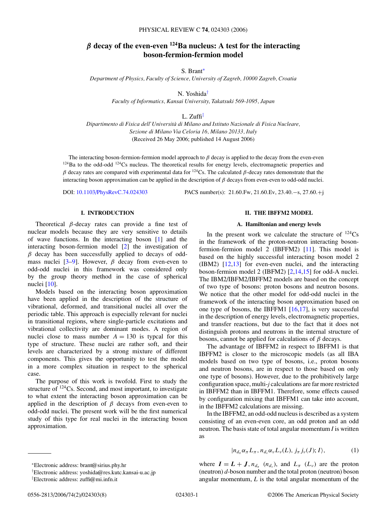# *β* **decay of the even-even 124Ba nucleus: A test for the interacting boson-fermion-fermion model**

S. Brant<sup>∗</sup>

*Department of Physics, Faculty of Science, University of Zagreb, 10000 Zagreb, Croatia*

N. Yoshida†

*Faculty of Informatics, Kansai University, Takatsuki 569-1095, Japan*

L.  $Zuffi^{\ddagger}$ 

*Dipartimento di Fisica dell'Universita di Milano and Istituto Nazionale di Fisica Nucleare, ` Sezione di Milano Via Celoria 16, Milano 20133, Italy* (Received 26 May 2006; published 14 August 2006)

The interacting boson-fermion-fermion model approach to *β* decay is applied to the decay from the even-even  $124$ Ba to the odd-odd  $124$ Cs nucleus. The theoretical results for energy levels, electromagnetic properties and  $β$  decay rates are compared with experimental data for <sup>124</sup>Cs. The calculated  $β$ -decay rates demonstrate that the interacting boson approximation can be applied in the description of *β* decays from even-even to odd-odd nuclei.

DOI: [10.1103/PhysRevC.74.024303](http://dx.doi.org/10.1103/PhysRevC.74.024303) PACS number(s): 21*.*60*.*Fw, 21*.*60*.*Ev, 23*.*40*.*−s, 27*.*60*.*+j

# **I. INTRODUCTION**

Theoretical *β*-decay rates can provide a fine test of nuclear models because they are very sensitive to details of wave functions. In the interacting boson [\[1\]](#page-7-0) and the interacting boson-fermion model [\[2\]](#page-7-0) the investigation of *β* decay has been successfully applied to decays of oddmass nuclei  $[3-9]$ . However,  $\beta$  decay from even-even to odd-odd nuclei in this framework was considered only by the group theory method in the case of spherical nuclei [\[10\]](#page-7-0).

Models based on the interacting boson approximation have been applied in the description of the structure of vibrational, deformed, and transitional nuclei all over the periodic table. This approach is especially relevant for nuclei in transitional regions, where single-particle excitations and vibrational collectivity are dominant modes. A region of nuclei close to mass number  $A = 130$  is typcal for this type of structure. These nuclei are rather soft, and their levels are characterized by a strong mixture of different components. This gives the opportunity to test the model in a more complex situation in respect to the spherical case.

The purpose of this work is twofold. First to study the structure of <sup>124</sup>Cs. Second, and most important, to investigate to what extent the interacting boson approximation can be applied in the description of *β* decays from even-even to odd-odd nuclei. The present work will be the first numerical study of this type for real nuclei in the interacting boson approximation.

# **II. THE IBFFM2 MODEL**

#### **A. Hamiltonian and energy levels**

In the present work we calculate the structure of  $^{124}Cs$ in the framework of the proton-neutron interacting bosonfermion-fermion model 2 (IBFFM2) [\[11\]](#page-8-0). This model is based on the highly successful interacting boson model 2 (IBM2) [\[12,13\]](#page-8-0) for even-even nuclei, and the interacting boson-fermion model 2 (IBFM2) [\[2](#page-7-0)[,14,15\]](#page-8-0) for odd-A nuclei. The IBM2/IBFM2/IBFFM2 models are based on the concept of two type of bosons: proton bosons and neutron bosons. We notice that the other model for odd-odd nuclei in the framework of the interacting boson approximation based on one type of bosons, the IBFFM1 [\[16,17\]](#page-8-0), is very successful in the description of energy levels, electromagnetic properties, and transfer reactions, but due to the fact that it does not distinguish protons and neutrons in the internal structure of bosons, cannot be applied for calculations of *β* decays.

The advantage of IBFFM2 in respect to IBFFM1 is that IBFFM2 is closer to the microscopic models (as all IBA models based on two type of bosons, i.e., proton bosons and neutron bosons, are in respect to those based on only one type of bosons). However, due to the prohibitively large configuration space, multi-*j* calculations are far more restricted in IBFFM2 than in IBFFM1. Therefore, some effects caused by configuration mixing that IBFFM1 can take into account, in the IBFFM2 calculations are missing.

In the IBFFM2, an odd-odd nucleus is described as a system consisting of an even-even core, an odd proton and an odd neutron. The basis state of total angular momentum *I* is written as

$$
|n_{d_{\pi}}\alpha_{\pi}L_{\pi}, n_{d_{\nu}}\alpha_{\nu}L_{\nu}(L), j_{\pi}j_{\nu}(J); I\rangle,
$$
 (1)

<sup>∗</sup>Electronic address: brant@sirius.phy.hr

† Electronic address: yoshida@res.kutc.kansai-u.ac.jp

‡ Electronic address: zuffi@mi.infn.it

where  $I = L + J$ ,  $n_{d_{\pi}}$   $(n_{d_{\nu}})$ , and  $L_{\pi}$   $(L_{\nu})$  are the proton (neutron) *d*-boson number and the total proton (neutron) boson angular momentum, *L* is the total angular momentum of the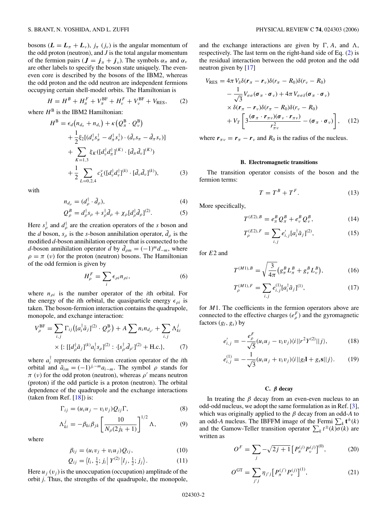<span id="page-2-0"></span>bosons  $(L = L_{\pi} + L_{\nu})$ ,  $j_{\pi}$   $(j_{\nu})$  is the angular momentum of the odd proton (neutron), and *J* is the total angular momentum of the fermion pairs ( $J = j_{\pi} + j_{\nu}$ ). The symbols  $\alpha_{\pi}$  and  $\alpha_{\nu}$ are other labels to specify the boson state uniquely. The eveneven core is described by the bosons of the IBM2, whereas the odd proton and the odd neutron are independent fermions occupying certain shell-model orbits. The Hamiltonian is

$$
H = HB + H\piF + V\piBF + H\nuF + V\nuBF + VRES, \t(2)
$$

where  $H^B$  is the IBM2 Hamiltonian:

$$
H^{B} = \epsilon_{d} (n_{d_{\pi}} + n_{d_{\nu}}) + \kappa (Q_{\pi}^{B} \cdot Q_{\nu}^{B})
$$
  
+  $\frac{1}{2} \xi_{2} [ (d_{\nu}^{\dagger} s_{\pi}^{\dagger} - d_{\pi}^{\dagger} s_{\nu}^{\dagger}) \cdot (\tilde{d}_{\nu} s_{\pi} - \tilde{d}_{\pi} s_{\nu})]$   
+  $\sum_{K=1,3} \xi_{K} ([d_{\nu}^{\dagger} d_{\pi}^{\dagger}]^{(K)} \cdot [\tilde{d}_{\pi} \tilde{d}_{\nu}]^{(K)})$   
+  $\frac{1}{2} \sum_{L=0,2,4} c_{L}^{\nu} ([d_{\nu}^{\dagger} d_{\nu}^{\dagger}]^{(k)} \cdot [\tilde{d}_{\nu} \tilde{d}_{\nu}]^{(k)}),$  (3)

with

$$
n_{d_{\rho}} = (d_{\rho}^{\dagger} \cdot \tilde{d}_{\rho}), \tag{4}
$$

$$
Q_{\rho}^{B} = d_{\rho}^{\dagger} s_{\rho} + s_{\rho}^{\dagger} \tilde{d}_{\rho} + \chi_{\rho} [d_{\rho}^{\dagger} \tilde{d}_{\rho}]^{(2)}.
$$
 (5)

Here  $s_{\rho}^{\dagger}$  and  $d_{\rho}^{\dagger}$  are the creation operators of the *s* boson and the *d* boson,  $s_\rho$  is the *s*-boson annihilation operator,  $\tilde{d}_\rho$  is the modified *d*-boson annihilation operator that is connected to the *d*-boson annihilation operator  $\tilde{d}$  by  $\tilde{d}_{\rho m} = (-1)^m d_{-m}$ , where  $\rho = \pi$  (*v*) for the proton (neutron) bosons. The Hamiltonian of the odd fermion is given by

$$
H_{\rho}^{F} = \sum_{i} \epsilon_{\rho i} n_{\rho i}, \qquad (6)
$$

where *nρi* is the number operator of the *i*th orbital. For the energy of the *i*th orbital, the quasiparticle energy  $\epsilon_{\rho i}$  is taken. The boson-fermion interaction contains the quadrupole, monopole, and exchange interaction:

$$
V_{\rho}^{\text{BF}} = \sum_{i,j} \Gamma_{ij} \left( [a_i^{\dagger} \tilde{a}_j]^{(2)} \cdot Q_{\rho'}^{\text{B}} \right) + A \sum n_i n_{d_{\rho'}} + \sum_{i,j} \Lambda_{ki}^j
$$
  
 
$$
\times \left\{ : [[d_{\rho}^{\dagger} \tilde{a}_j]^{(k)} a_i^{\dagger} s_{\rho}]^{(2)} : [s_{\rho'}^{\dagger} \tilde{d}_{\rho'}]^{(2)} + \text{H.c.} \right\},
$$
 (7)

where  $a_i^{\dagger}$  represents the fermion creation operator of the *i*th orbital and  $\tilde{a}_{im} = (-1)^{j_i - m} a_{i - m}$ . The symbol  $\rho$  stands for  $\pi$  (*v*) for the odd proton (neutron), whereas  $\rho'$  means neutron (proton) if the odd particle is a proton (neutron). The orbital dependence of the quadrupole and the exchange interactions (taken from Ref.  $[18]$ ) is:

$$
\Gamma_{ij} = (u_i u_j - v_i v_j) Q_{ij} \Gamma,
$$
\n(8)

$$
\Lambda_{ki}^j = -\beta_{ki}\beta_{jk} \left[ \frac{10}{N_\rho(2j_k+1)} \right]^{1/2} \Lambda, \tag{9}
$$

where

$$
\beta_{ij} = (u_i v_j + v_i u_j) Q_{ij}, \qquad (10)
$$

$$
Q_{ij} = \langle l_i, \frac{1}{2}; j_i | Y^{(2)} | l_j, \frac{1}{2}; j_j \rangle.
$$
 (11)

Here  $u_i(v_i)$  is the unoccupation (occupation) amplitude of the orbit *j*. Thus, the strengths of the quadrupole, the monopole,

and the exchange interactions are given by  $\Gamma$ , A, and  $\Lambda$ , respectively. The last term on the right-hand side of Eq. (2) is the residual interaction between the odd proton and the odd neutron given by [\[17\]](#page-8-0)

$$
V_{RES} = 4\pi V_{\delta} \delta(\mathbf{r}_{\pi} - \mathbf{r}_{\nu}) \delta(r_{\pi} - R_{0}) \delta(r_{\nu} - R_{0})
$$
  
\n
$$
- \frac{1}{\sqrt{3}} V_{\sigma\sigma} (\boldsymbol{\sigma}_{\pi} \cdot \boldsymbol{\sigma}_{\nu}) + 4\pi V_{\sigma\sigma\delta} (\boldsymbol{\sigma}_{\pi} \cdot \boldsymbol{\sigma}_{\nu})
$$
  
\n
$$
\times \delta(\mathbf{r}_{\pi} - \mathbf{r}_{\nu}) \delta(r_{\pi} - R_{0}) \delta(r_{\nu} - R_{0})
$$
  
\n
$$
+ V_{T} \left[ 3 \frac{(\boldsymbol{\sigma}_{\pi} \cdot \mathbf{r}_{\pi\nu})(\boldsymbol{\sigma}_{\nu} \cdot \mathbf{r}_{\pi\nu})}{r_{\pi\nu}^{2}} - (\boldsymbol{\sigma}_{\pi} \cdot \boldsymbol{\sigma}_{\nu}) \right], \quad (12)
$$

where  $r_{\pi\nu} = r_{\pi} - r_{\nu}$  and  $R_0$  is the radius of the nucleus.

#### **B. Electromagnetic transitions**

The transition operator consists of the boson and the fermion terms:

$$
T = T^B + T^F. \tag{13}
$$

More specifically,

$$
T^{(E2),B} = e_{\pi}^{B} Q_{\pi}^{B} + e_{\nu}^{B} Q_{\nu}^{B}, \qquad (14)
$$

$$
T_{\rho}^{(E2),F} = \sum_{i,j} e'_{i,j} [a_i^{\dagger} \tilde{a}_j]^{(2)},
$$
 (15)

for *E*2 and

$$
T^{(M1),B} = \sqrt{\frac{3}{4\pi}} \left( g_{\pi}^{B} L_{\pi}^{B} + g_{\nu}^{B} L_{\nu}^{B} \right),
$$
 (16)

$$
T_{\rho}^{(M1),F} = \sum_{i,j} e_{i,j}^{(1)} [a_i^{\dagger} \tilde{a}_j]^{(1)},\tag{17}
$$

for *M*1. The coefficients in the fermion operators above are connected to the effective charges  $(e_p^F)$  and the gyromagnetic factors (*gl, gs*) by

$$
e'_{i,j} = -\frac{e_{\rho}^F}{\sqrt{5}} (u_i u_j - v_i v_j) \langle i || r^2 Y^{(2)} || j \rangle, \tag{18}
$$

$$
e_{i,j}^{(1)} = -\frac{1}{\sqrt{3}} (u_i u_j + v_i v_j) \langle i || g_l \mathbf{I} + g_s \mathbf{s} || j \rangle.
$$
 (19)

#### **C.** *β* **decay**

In treating the  $\beta$  decay from an even-even nucleus to an odd-odd nucleus, we adopt the same formulation as in Ref. [\[3\]](#page-7-0), which was originally applied to the *β* decay from an odd-*A* to an odd-*A* nucleus. The IBFFM image of the Fermi  $\sum_{k} t^{\pm}(k)$ and the Gamow-Teller transition operator  $\sum_k t^{\pm}(k) \overline{\sigma}(k)$  are written as

$$
O^{F} = \sum_{j} -\sqrt{2j+1} \left[ P_{\pi}^{(j)} P_{\nu}^{(j)} \right]^{(0)},\tag{20}
$$

$$
O^{\text{GT}} = \sum_{j'j} \eta_{j'j} \big[ P_{\pi}^{(j')} P_{\nu}^{(j)} \big]^{(1)},\tag{21}
$$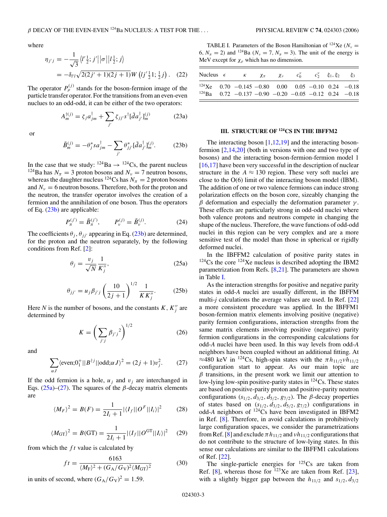<span id="page-3-0"></span>where

$$
\eta_{j'j} = -\frac{1}{\sqrt{3}} \langle l' \frac{1}{2}; j' || \sigma || l \frac{1}{2}; j \rangle
$$
  
=  $-\delta_{l'l} \sqrt{2(2j'+1)(2j+1)} W (l j' \frac{1}{2} 1; \frac{1}{2} j).$  (22)

The operator  $P_{\rho}^{(j)}$  stands for the boson-fermion image of the particle transfer operator. For the transitions from an even-even nuclues to an odd-odd, it can be either of the two operators:

> $A_m^{\dagger(j)} = \zeta_j a_{jm}^{\dagger} + \sum$ *j*  $\zeta_{jj'}s^{\dagger}[\tilde{d}a_{j'}^{\dagger}]_{m}^{(j)}$ *<sup>m</sup>* (23a)

or

$$
\tilde{B}_{m}^{(j)} = -\theta_{j}^{*}sa_{jm}^{\dagger} - \sum_{j'} \theta_{jj'}^{*} [\tilde{d}a_{j'}^{\dagger}]_{m}^{(j)}.
$$
 (23b)

In the case that we study:  $124Ba \rightarrow 124Cs$ , the parent nucleus <sup>124</sup>Ba has  $N_\pi = 3$  proton bosons and  $N_\nu = 7$  neutron bosons, whereas the daughter nucleus <sup>124</sup>Cs has  $N_\pi = 2$  proton bosons and  $N_v = 6$  neutron bosons. Therefore, both for the proton and the neutron, the transfer operator involves the creation of a fermion and the annihilation of one boson. Thus the operators of Eq. (23b) are applicable:

$$
P_{\pi}^{(j')} = \tilde{B}_{\pi}^{(j')}, \qquad P_{\nu}^{(j)} = \tilde{B}_{\nu}^{(j)}.
$$
 (24)

The coefficients  $\theta_i$ ,  $\theta_{ij}$  appearing in Eq. (23b) are determined, for the proton and the neutron separately, by the following conditions from Ref. [\[2\]](#page-7-0):

$$
\theta_j = \frac{v_j}{\sqrt{N}} \frac{1}{K''_j},\tag{25a}
$$

$$
\theta_{jj'} = u_j \beta_{j'j} \left(\frac{10}{2j+1}\right)^{1/2} \frac{1}{KK''_j}.
$$
 (25b)

Here *N* is the number of bosons, and the constants  $K$ ,  $K_j''$  are determined by

$$
K = \left(\sum_{j'j} \beta_{j'j}^2\right)^{1/2} \tag{26}
$$

and

$$
\sum_{\alpha J} \langle \text{even;O}_1^+ || B^{\dagger j} || \text{odd;}\alpha J \rangle^2 = (2j+1)v_j^2. \tag{27}
$$

If the odd fermion is a hole,  $u_i$  and  $v_i$  are interchanged in Eqs.  $(25a)$ – $(27)$ . The squares of the  $\beta$ -decay matrix elements are

$$
\langle M_F \rangle^2 = B(F) = \frac{1}{2I_i + 1} |\langle I_f || O^F || I_i \rangle|^2 \tag{28}
$$

$$
\langle M_{\rm GT} \rangle^2 = B(\rm GT) = \frac{1}{2I_i + 1} |\langle I_f || O^{\rm GT} || I_i \rangle|^2 \tag{29}
$$

from which the *f t* value is calculated by

$$
ft = \frac{6163}{\langle M_{\rm F} \rangle^2 + (G_{\rm A}/G_{\rm V})^2 \langle M_{\rm GT} \rangle^2}
$$
(30)

in units of second, where  $(G_A/G_V)^2 = 1.59$ .

TABLE I. Parameters of the Boson Hamiltonian of <sup>124</sup>Xe ( $N_v$  = 6*, N<sub>n</sub>* = 2) and <sup>124</sup>Ba ( $N_v = 7$ ,  $N_\pi = 3$ ). The unit of the energy is MeV except for  $\chi_{\rho}$  which has no dimension.

|  | Nucleus $\epsilon$ $\kappa$ $\chi_{\pi}$ $\chi_{\nu}$ $c_0^{\nu}$ |  |  | $c_2^{\nu}$ $\xi_1, \xi_2$ $\xi_3$ |  |
|--|-------------------------------------------------------------------|--|--|------------------------------------|--|
|  | $^{124}$ Xe 0.70 -0.145 -0.80 0.00 0.05 -0.10 0.24 -0.18          |  |  |                                    |  |
|  | $^{124}$ Ba 0.72 -0.137 -0.90 -0.20 -0.05 -0.12 0.24 -0.18        |  |  |                                    |  |

#### **III. STRUCTURE OF 124CS IN THE IBFFM2**

The interacting boson [\[1,](#page-7-0)[12,19\]](#page-8-0) and the interacting bosonfermion [\[2](#page-7-0)[,14,20\]](#page-8-0) (both in versions with one and two type of bosons) and the interacting boson-fermion-fermion model 1 [\[16,17\]](#page-8-0) have been very successful in the description of nuclear structure in the  $A \approx 130$  region. These very soft nuclei are close to the O(6) limit of the interacting boson model (IBM). The addition of one or two valence fermions can induce strong polarization effects on the boson core, sizeably changing the *β* deformation and especially the deformation parameter *γ* . These effects are particularly strong in odd-odd nuclei where both valence protons and neutrons compete in changing the shape of the nucleus. Therefore, the wave functions of odd-odd nuclei in this region can be very complex and are a more sensitive test of the model than those in spherical or rigidly deformed nuclei.

In the IBFFM2 calculation of positive parity states in  $124$ Cs the core  $124$ Xe nucleus is described adopting the IBM2 parametrization from Refs. [\[8,](#page-7-0)[21\]](#page-8-0). The parameters are shown in Table I.

As the interaction strengths for positive and negative parity states in odd-*A* nuclei are usually different, in the IBFFM multi-*j* calculations the average values are used. In Ref. [\[22\]](#page-8-0) a more consistent procedure was applied. In the IBFFM1 boson-fermion matrix elements involving positive (negative) parity fermion configurations, interaction strengths from the same matrix elements involving positive (negative) parity fermion configurations in the corresponding calculations for odd-*A* nuclei have been used. In this way levels from odd-*A* neighbors have been coupled without an additional fitting. At  $\approx$ 480 keV in <sup>124</sup>Cs, high-spin states with the  $\pi h_{11/2}$ *vh*<sub>11/2</sub> configuration start to appear. As our main topic are *β* transitions, in the present work we limit our attention to low-lying low-spin positive-parity states in  $124Cs$ . These states are based on positive-parity proton and positive-parity neutron configurations  $(s_{1/2}, d_{3/2}, d_{5/2}, g_{7/2})$ . The  $\beta$ -decay properties of states based on  $(s_{1/2}, d_{3/2}, d_{5/2}, g_{7/2})$  configurations in odd-A neighbors of <sup>124</sup>Cs have been investigated in IBFM2 in Ref. [\[8\]](#page-7-0). Therefore, in avoid calculations in prohibitively large configuration spaces, we consider the parametrizations from Ref. [\[8\]](#page-7-0) and exclude  $\pi h_{11/2}$  and  $v h_{11/2}$  configurations that do not contribute to the structure of low-lying states. In this sense our calculations are similar to the IBFFM1 calculations of Ref. [\[22\]](#page-8-0).

The single-particle energies for  $^{125}Cs$  are taken from Ref. [\[8\]](#page-7-0), whereas those for  $123$ Xe are taken from Ref. [\[23\]](#page-8-0), with a slightly bigger gap between the  $h_{11/2}$  and  $s_{1/2}$ ,  $d_{3/2}$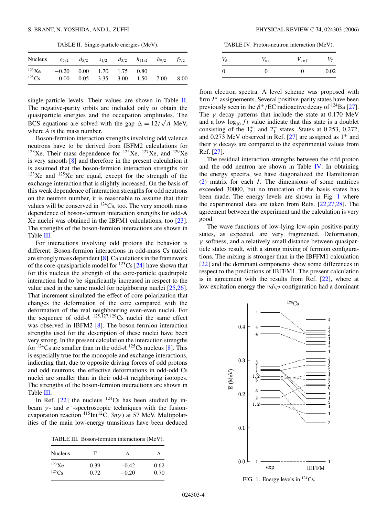TABLE II. Single-particle energies (MeV).

| <b>Nucleus</b> |                              | $g_{7/2}$ $d_{5/2}$ |           | $s_{1/2}$ $d_{3/2}$ $h_{11/2}$ | $h_{9/2}$ | $f_{7/2}$ |
|----------------|------------------------------|---------------------|-----------|--------------------------------|-----------|-----------|
| $^{123}$ Xe    | $-0.20$ $0.00$ $1.70$ $1.75$ |                     |           | 0.80                           |           |           |
| $^{125}Cs$     | $0.00\,$                     | 0.05                | 3.35 3.00 | 1.50                           | 7.00      | 8.00      |

single-particle levels. Their values are shown in Table II. The negative-parity orbits are included only to obtain the quasiparticle energies and the occupation amplitudes. The quasiparticle energies and the occupation amplitudes. The BCS equations are solved with the gap  $\Delta = 12/\sqrt{A}$  MeV, where *A* is the mass number.

Boson-fermion interaction strengths involving odd valence neutrons have to be derived from IBFM2 calculations for  $123$ Xe. Their mass dependence for  $125$ Xe,  $127$ Xe, and  $129$ Xe is very smooth [\[8\]](#page-7-0) and therefore in the present calculation it is assumed that the boson-fermion interaction strengths for  $123Xe$  and  $125Xe$  are equal, except for the strength of the exchange interaction that is slightly increased. On the basis of this weak dependence of interaction strengths for odd neutrons on the neutron number, it is reasonable to assume that their values will be conserved in  $^{124}Cs$ , too. The very smooth mass dependence of boson-fermion interaction strengths for odd-A Xe nuclei was obtained in the IBFM1 calculations, too [\[23\]](#page-8-0). The strengths of the boson-fermion interactions are shown in Table III.

For interactions involving odd protons the behavior is different. Boson-fermion interactions in odd-mass Cs nuclei are strongly mass dependent [\[8\]](#page-7-0). Calculations in the framework of the core-quasiparticle model for  $^{123}Cs$  [\[24\]](#page-8-0) have shown that for this nucleus the strength of the core-particle quadrupole interaction had to be significantly increased in respect to the value used in the same model for neighboring nuclei [\[25,26\]](#page-8-0). That increment simulated the effect of core polarization that changes the deformation of the core compared with the deformation of the real neighbouring even-even nuclei. For the sequence of odd- $A^{125,127,129}$ Cs nuclei the same effect was observed in IBFM2 [\[8\]](#page-7-0). The boson-fermion interaction strengths used for the description of these nuclei have been very strong. In the present calculation the interaction strengths for  $124$ Cs are smaller than in the odd- $A^{125}$ Cs nucleus [\[8\]](#page-7-0). This is especially true for the monopole and exchange interactions, indicating that, due to opposite driving forces of odd protons and odd neutrons, the effective deformations in odd-odd Cs nuclei are smaller than in their odd-*A* neighboring isotopes. The strengths of the boson-fermion interactions are shown in Table III.

In Ref.  $[22]$  the nucleus  $^{124}Cs$  has been studied by inbeam  $\gamma$ - and  $e^-$ -spectroscopic techniques with the fusionevaporation reaction <sup>115</sup>In(<sup>12</sup>C, 3*nγ*) at 57 MeV. Multipolarities of the main low-energy transitions have been deduced

TABLE III. Boson-fermion interactions (MeV).

| <b>Nucleus</b> |      | А       |      |
|----------------|------|---------|------|
| $^{123}Xe$     | 0.39 | $-0.42$ | 0.62 |
| $125C_S$       | 0.72 | $-0.20$ | 0.70 |

TABLE IV. Proton-neutron interaction (MeV).

| $V_\delta$ | $V_{\sigma\sigma}$ | $V_{\sigma\sigma\delta}$ | $\mathbf{r}$ |
|------------|--------------------|--------------------------|--------------|
|            |                    |                          | 0.02         |

from electron spectra. A level scheme was proposed with firm  $I^{\pi}$  assignements. Several positive-parity states have been previously seen in the  $\beta^+/EC$  radioactive decay of <sup>124</sup>Ba [\[27\]](#page-8-0). The  $\gamma$  decay patterns that include the state at 0.170 MeV and a low  $\log_{10} ft$  value indicate that this state is a doublet consisting of the  $1^+_2$ , and  $2^+_1$  states. States at 0.253, 0.272, and 0.273 MeV observed in Ref.  $[27]$  are assigned as  $1^+$  and their  $\gamma$  decays are compared to the experimental values from Ref. [\[27\]](#page-8-0).

The residual interaction strengths between the odd proton and the odd neutron are shown in Table IV. In obtaining the energy spectra, we have diagonalized the Hamiltonian [\(2\)](#page-2-0) matrix for each *I* . The dimensions of some matrices exceeded 30000, but no truncation of the basis states has been made. The energy levels are shown in Fig. 1 where the experimental data are taken from Refs. [\[22,27,28\]](#page-8-0). The agreement between the experiment and the calculation is very good.

The wave functions of low-lying low-spin positive-parity states, as expected, are very fragmented. Deformation, *γ* softness, and a relatively small distance between quasiparticle states result, with a strong mixing of fermion configurations. The mixing is stronger than in the IBFFM1 calculation [\[22\]](#page-8-0) and the dominant components show some differences in respect to the predictions of IBFFM1. The present calculation is in agreement with the results from Ref. [\[22\]](#page-8-0), where at low excitation energy the *νd*3*/*<sup>2</sup> configuration had a dominant



FIG. 1. Energy levels in 124Cs.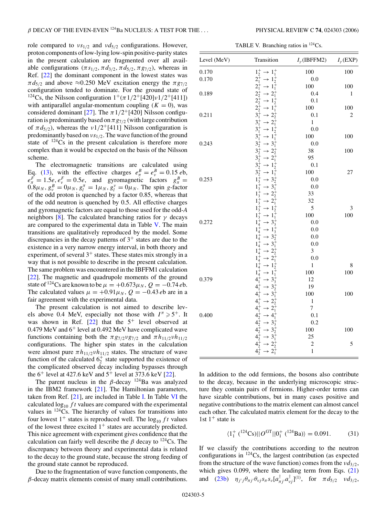role compared to *νs*1*/*<sup>2</sup> and *νd*5*/*<sup>2</sup> configurations. However, proton components of low-lying low-spin positive-parity states in the present calculation are fragmented over all available configurations  $(\pi s_{1/2}, \pi d_{3/2}, \pi d_{5/2}, \pi g_{7/2})$ , whereas in Ref. [\[22\]](#page-8-0) the dominant component in the lowest states was  $\pi d_{5/2}$  and above  $\approx 0.250$  MeV excitation energy the  $\pi g_{7/2}$ configuration tended to dominate. For the ground state of <sup>124</sup>Cs, the Nilsson configuration  $1^{+}(\pi 1/2^{+}[420]\nu 1/2^{+}[411])$ with antiparallel angular-momentum coupling  $(K = 0)$ , was considered dominant [\[27\]](#page-8-0). The  $\pi$ 1/2<sup>+</sup>[420] Nilsson configuration is predominantly based on  $\pi g_{7/2}$  (with large contribution of  $\pi d_{5/2}$ ), whereas the *ν*1/2<sup>+</sup>[411] Nilsson configuration is predominantly based on *νs*1*/*2. The wave function of the ground state of  $124\text{Cs}$  in the present calculation is therefore more complex than it would be expected on the basis of the Nilsson scheme.

The electromagnetic transitions are calculated using Eq. [\(13\)](#page-2-0), with the effective charges  $e_{\pi}^{B} = e_{\nu}^{B} = 0.15 e^{b}$ ,  $e^F_\pi = 1.5e, e^F_\nu = 0.5e$ , and gyromagnetic factors  $g^B_\pi =$  $0.8\mu_N, g_v^B = 0\mu_N, g_l^{\pi} = 1\mu_N, g_l^{\nu} = 0\mu_N$ . The spin *g*-factor of the odd proton is quenched by a factor 0.85, whereas that of the odd neutron is quenched by 0.5. All effective charges and gyromagnetic factors are equal to those used for the odd-*A* neighbors [\[8\]](#page-7-0). The calculated branching ratios for  $\gamma$  decays are compared to the experimental data in Table V. The main transitions are qualitatively reproduced by the model. Some discrepancies in the decay patterns of  $3<sup>+</sup>$  states are due to the existence in a very narrow energy interval, in both theory and experiment, of several  $3^+$  states. These states mix strongly in a way that is not possible to describe in the present calculation. The same problem was encountered in the IBFFM1 calculation [\[22\]](#page-8-0). The magnetic and quadrupole moments of the ground state of <sup>124</sup>Cs are known to be  $\mu = +0.673\mu_N$ ,  $Q = -0.74$  *eb*. The calculated values  $\mu = +0.91\mu_N$ ,  $Q = -0.43$  *eb* are in a fair agreement with the experimental data.

The present calculation is not aimed to describe levels above 0.4 MeV, especially not those with  $I^{\pi} \ge 5^+$ . It was shown in Ref.  $[22]$  that the  $5^+$  level observed at 0.479 MeV and  $6^+$  level at 0.492 MeV have complicated wave functions containing both the  $\pi g_{7/2}v_{7/2}$  and  $\pi h_{11/2}v h_{11/2}$ configurations. The higher spin states in the calculation were almost pure  $\pi h_{11/2} v h_{11/2}$  states. The structure of wave function of the calculated  $6^{+}_{2}$  state supported the existence of the complicated observed decay including bypasses through the  $6^+$  level at 427.6 keV and  $5^+$  level at 373.6 keV [\[22\]](#page-8-0).

The parent nucleus in the  $\beta$ -decay <sup>124</sup>Ba was analyzed in the IBM2 framework [\[21\]](#page-8-0). The Hamiltonian parameters, taken from Ref.  $[21]$ , are included in Table [I.](#page-3-0) In Table [VI](#page-6-0) the calculated  $\log_{10} ft$  values are compared with the experimental values in  $124$ Cs. The hierarchy of values for transitions into four lowest  $1^+$  states is reproduced well. The  $\log_{10} ft$  values of the lowest three excited  $1<sup>+</sup>$  states are accurately predicted. This nice agreement with experiment gives confidence that the calculation can fairly well describe the  $\beta$  decay to <sup>124</sup>Cs. The discrepancy between theory and experimental data is related to the decay to the ground state, because the strong feeding of the ground state cannot be reproduced.

Due to the fragmentation of wave function components, the *β*-decay matrix elements consist of many small contributions.

TABLE V. Branching ratios in  $^{124}Cs$ .

| Level (MeV) | Transition                                                                                                                             | $I_{\gamma}$ (IBFFM2) | $I_{\gamma}$ (EXP) |
|-------------|----------------------------------------------------------------------------------------------------------------------------------------|-----------------------|--------------------|
| 0.170       | $1^+_2 \rightarrow 1^+_1$                                                                                                              | 100                   | 100                |
| 0.170       | $2^+_1 \rightarrow 1^+_2$                                                                                                              | 0.0                   |                    |
|             | $2^+_1 \rightarrow 1^+_1$                                                                                                              | 100                   | 100                |
| 0.189       | $2^+_2 \rightarrow 2^+_1$                                                                                                              | 0.4                   | 1                  |
|             |                                                                                                                                        | 0.1                   |                    |
|             |                                                                                                                                        | 100                   | 100                |
| 0.211       | $2^{+}_{2} \rightarrow 1^{+}_{2}$<br>$2^{+}_{2} \rightarrow 1^{+}_{1}$<br>$3^{+}_{1} \rightarrow 2^{+}_{2}$                            | 0.1                   | 2                  |
|             | $\rightarrow$ 2 <sup>+</sup><br>$3^{+}_{1}$                                                                                            | $\mathbf{1}$          |                    |
|             | $\rightarrow$ 1 <sup>+</sup> <sub>2</sub><br>$\rightarrow$ 1 <sup>+</sup> <sub>1</sub><br>$3^{+}_{1}$                                  | 0.0                   |                    |
|             | $3^{+}_{1}$                                                                                                                            | 100                   | 100                |
| 0.243       | $3^{+}_{2}$<br>$\rightarrow$ 3 <sup>+</sup>                                                                                            | 0.0                   |                    |
|             | $\rightarrow 2^+_2$<br>$3^{+}_{2}$<br>$3^{+}_{2}$                                                                                      | 38                    | 100                |
|             | $\rightarrow 2^{\overline{+}}$                                                                                                         | 95                    |                    |
|             | $3^{+}_{2}$<br>$\rightarrow 1_{2}^{\div}$<br>$\rightarrow 1_{1}^{\div}$                                                                | 0.1                   |                    |
|             | $3^{+}_{2}$                                                                                                                            | 100                   | 27                 |
| 0.253       |                                                                                                                                        | 0.0                   |                    |
|             |                                                                                                                                        | 0.0                   |                    |
|             | $1_3^2 \rightarrow 3_2^2$<br>$1_3^4 \rightarrow 3_1^4$<br>$1_3^4 \rightarrow 2_2^4$                                                    | 33                    |                    |
|             | $1_3^+ \rightarrow 2_1^+$                                                                                                              | 32                    |                    |
|             | $1_3^+ \rightarrow 1_2^+$                                                                                                              | 5                     | 3                  |
|             | $\rightarrow$ 1 <sup>+</sup> <sub>1</sub><br>$1_3^+$                                                                                   | 100                   | 100                |
| 0.272       | $1^{+}_{4}$<br>$\rightarrow$ 3 <sup>+</sup>                                                                                            | 0.0                   |                    |
|             | $1^{+}_{4}$<br>$\rightarrow$ 1 <sup>+</sup> <sub>3</sub>                                                                               | 0.0                   |                    |
|             | $1^+_4 \rightarrow 3^+_2$<br>$1^+_4 \rightarrow 3^+_1$                                                                                 | 0.0                   |                    |
|             |                                                                                                                                        | 0.0                   |                    |
|             | $1^+_4 \rightarrow 2^+_2$                                                                                                              | 3                     |                    |
|             | $1^{+}_{4}$<br>$\rightarrow 2^+_1$                                                                                                     | 0.0                   |                    |
|             | $1^+_4 \rightarrow 1^+_2$                                                                                                              | $\mathbf{1}$          | 8                  |
|             | $\rightarrow 1_1^{\tilde{+}}$<br>$1^{+}_{4}$                                                                                           | 100                   | 100                |
| 0.379       | $\rightarrow$ 3 <sup>+</sup> <sub>3</sub><br>$4^{+}_{1}$                                                                               | 12                    |                    |
|             | $4^{+}_{1}$<br>$\rightarrow$ 3 <sup>+</sup>                                                                                            | 19                    |                    |
|             | $4^+_1 \rightarrow 3^+_1$                                                                                                              | 100                   | 100                |
|             | $\rightarrow 2^+_2$<br>$4^{+}_{1}$                                                                                                     | $\,1$                 |                    |
|             | $\rightarrow 2^+_1$<br>$4^{+}_{1}$                                                                                                     | $\overline{7}$        |                    |
| 0.400       | $4^{+}_{2} \rightarrow 4^{+}_{1}$                                                                                                      | 0.1                   |                    |
|             | $4\frac{1}{2} \rightarrow 3\frac{1}{3}$                                                                                                | 0.2                   |                    |
|             | $\rightarrow$ 3 <sup>+</sup><br>$4^{+}_{2}$                                                                                            | 100                   | 100                |
|             | $\rightarrow$ 3 <sup><math>\stackrel{4}{\rightarrow}</math></sup><br>$\rightarrow$ 2 <sup><math>\stackrel{4}{\rightarrow}</math></sup> | 25                    |                    |
|             |                                                                                                                                        | $\overline{c}$        | 5                  |
|             | $\rightarrow$ 2 <sup>+</sup>                                                                                                           | $\mathbf{1}$          |                    |

In addition to the odd fermions, the bosons also contribute to the decay, because in the underlying microscopic structure they contain pairs of fermions. Higher-order terms can have sizable contributions, but in many cases positive and negative contributions to the matrix element can almost cancel each other. The calculated matrix element for the decay to the 1st  $1^+$  state is

$$
\langle 1_1^+ \, (^{124} \text{Cs}) || O^{\text{GT}} || 0_1^+ \, (^{124} \text{Ba}) \rangle = 0.091. \tag{31}
$$

If we classify the contributions according to the neutron configurations in 124Cs, the largest contribution (as expected from the structure of the wave function) comes from the  $\nu d_{3/2}$ , which gives 0*.*099, where the leading term from Eqs. [\(21\)](#page-2-0) and [\(23b\)](#page-3-0)  $\eta_{j'j} \theta_{\pi j'} \theta_{\nu j} s_{\pi} s_{\nu} [a^{\dagger}_{\pi j'} a^{\dagger}_{\nu j}]^{(1)}$ , for  $\pi d_{5/2}$   $\nu d_{3/2}$ ,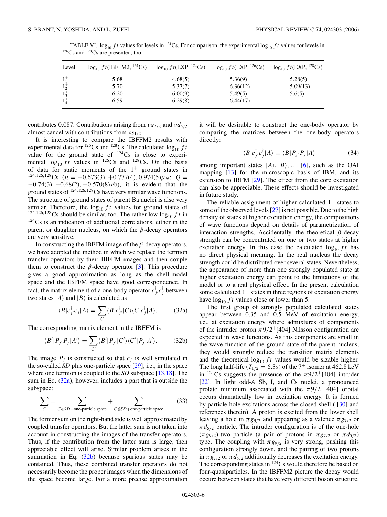| Level       | $\log_{10} ft$ (IBFFM2, <sup>124</sup> Cs) | $\log_{10} ft(EXP, {}^{124}Cs)$ | $\log_{10} ft(EXP, \frac{126}{5}Cs)$ | $\log_{10} ft(EXP, {}^{128}Cs)$ |
|-------------|--------------------------------------------|---------------------------------|--------------------------------------|---------------------------------|
| $1^{+}_{1}$ | 5.68                                       | 4.68(5)                         | 5.36(9)                              | 5.28(5)                         |
| $1^{+}_{2}$ | 5.70                                       | 5.37(7)                         | 6.36(12)                             | 5.09(13)                        |
| $1_3^+$     | 6.20                                       | 6.00(9)                         | 5.49(5)                              | 5.6(5)                          |
|             | 6.59                                       | 6.29(8)                         | 6.44(17)                             |                                 |

<span id="page-6-0"></span>TABLE VI.  $log_{10} ft$  values for levels in <sup>124</sup>Cs. For comparison, the experimental  $log_{10} ft$  values for levels in <sup>126</sup>Cs and <sup>128</sup>Cs are presented, too.

contributes 0*.*087. Contributions arising from *νg*7*/*<sup>2</sup> and *νd*5*/*<sup>2</sup> almost cancel with contributions from *νs*1*/*2.

It is interesting to compare the IBFFM2 results with experimental data for <sup>126</sup>Cs and <sup>128</sup>Cs. The calculated  $\log_{10} ft$ value for the ground state of  $^{124}Cs$  is close to experimental  $\log_{10} f \tilde{t}$  values in <sup>126</sup>Cs and <sup>128</sup>Cs. On the basis of data for static moments of the  $1^+$  ground states in  $124,126,128$ Cs ( $\mu = +0.673(3), +0.777(4), 0.974(5)\mu_N$ ;  $Q =$ −0*.*74(3)*,* −0*.*68(2)*,* −0*.*570(8) *e*b), it is evident that the ground states of <sup>124</sup>*,*126*,*128Cs have very similar wave functions. The structure of ground states of parent Ba nuclei is also very similar. Therefore, the  $log_{10} ft$  values for ground states of <sup>124,126,128</sup>Cs should be similar, too. The rather low  $\log_{10} ft$  in  $124Cs$  is an indication of additional correlations, either in the parent or daughter nucleus, on which the *β*-decay operators are very sensitive.

In constructing the IBFFM image of the *β*-decay operators, we have adopted the method in which we replace the fermion transfer operators by their IBFFM images and then couple them to construct the  $\beta$ -decay operator [\[3\]](#page-7-0). This procedure gives a good approximation as long as the shell-model space and the IBFFM space have good correspondence. In fact, the matrix element of a one-body operator  $c_{j'}^{\dagger}c_{j}^{\dagger}$  between two states  $|A\rangle$  and  $|B\rangle$  is calculated as

$$
\langle B|c_{j'}^{\dagger}c_{j}^{\dagger}|A\rangle = \sum_{C} \langle B|c_{j'}^{\dagger}|C\rangle \langle C|c_{j}^{\dagger}|A\rangle. \tag{32a}
$$

The corresponding matrix element in the IBFFM is

$$
\langle B'|P_{j'}P_j|A'\rangle = \sum_{C'} \langle B'|P_{j'}|C'\rangle \langle C'|P_j|A'\rangle. \tag{32b}
$$

The image  $P_j$  is constructed so that  $c_j$  is well simulated in the so-called *SD* plus one-particle space [\[29\]](#page-8-0), i.e., in the space where one fermion is coupled to the *SD* subspace [\[13,18\]](#page-8-0). The sum in Eq. (32a), however, includes a part that is outside the subspace:

$$
\sum_{C} = \sum_{C \in SD + \text{one-particle space}} + \sum_{C \notin SD + \text{one-particle space}}.
$$
 (33)

The former sum on the right-hand side is well approximated by coupled transfer operators. But the latter sum is not taken into account in constructing the images of the transfer operators. Thus, if the contribution from the latter sum is large, then appreciable effect will arise. Similar problem arises in the summation in Eq.  $(32b)$  because spurious states may be contained. Thus, these combined transfer operators do not necessarily become the proper images when the dimensions of the space become large. For a more precise approximation

it will be desirable to construct the one-body operator by comparing the matrices between the one-body operators directly:

$$
\langle B|c_{j'}^{\dagger}c_{j}^{\dagger}|A\rangle \equiv \langle B|P_{j'}P_{j}|A\rangle \tag{34}
$$

among important states  $|A\rangle, |B\rangle, \ldots$  [\[6\]](#page-7-0), such as the OAI mapping [\[13\]](#page-8-0) for the microscopic basis of IBM, and its extension to IBFM [\[29\]](#page-8-0). The effect from the core excitation can also be appreciable. These effects should be investigated in future study.

The reliable assignment of higher calculated  $1^+$  states to some of the observed levels [\[27\]](#page-8-0) is not possible. Due to the high density of states at higher excitation energy, the compositions of wave functions depend on details of parametrization of interaction strengths. Accidentally, the theoretical *β*-decay strength can be concentrated on one or two states at higher excitation energy. In this case the calculated  $\log_{10} ft$  has no direct physical meaning. In the real nucleus the decay strength could be distributed over several states. Nevertheless, the appearance of more than one strongly populated state at higher excitation energy can point to the limitations of the model or to a real physical effect. In the present calculation some calculated  $1<sup>+</sup>$  states in three regions of excitation energy have  $\log_{10} ft$  values close or lower than 5.

The first group of strongly populated calculated states appear between 0.35 and 0.5 MeV of excitation energy, i.e., at excitation energy where admixtures of components of the intruder proton  $\pi$ 9/2<sup>+</sup>[404] Nilsson configuration are expected in wave functions. As this components are small in the wave function of the ground state of the parent nucleus, they would strongly reduce the transition matrix elements and the theoretical  $\log_{10} ft$  values would be sizable higher. The long half-life ( $T_{1/2} = 6.3s$ ) of the 7<sup>+</sup> isomer at 462.8 keV in <sup>124</sup>Cs suggests the presence of the  $\pi$ 9/2<sup>+</sup>[404] intruder [\[22\]](#page-8-0). In light odd-A Sb, I, and Cs nuclei, a pronounced prolate minimum associated with the  $\pi$ 9/2<sup>+</sup>[404] orbital occurs dramatically low in excitation energy. It is formed by particle-hole excitations across the closed shell ( [\[30\]](#page-8-0) and references therein). A proton is excited from the lower shell leaving a hole in  $\pi g_{9/2}$  and appearing as a valence  $\pi g_{7/2}$  or  $\pi d_{5/2}$  particle. The intruder configuration is of the one-hole (*πg*9*/*2)-two particle (a pair of protons in *πg*7*/*<sup>2</sup> or *π d*5*/*2) type. The coupling with  $\pi g_{9/2}$  is very strong, pushing this configuration strongly down, and the pairing of two protons in  $\pi g_{7/2}$  or  $\pi d_{5/2}$  additionally decreases the excitation energy. The corresponding states in  $^{124}Cs$  would therefore be based on four-quasiparticles. In the IBFFM2 picture the decay would occure between states that have very different boson structure,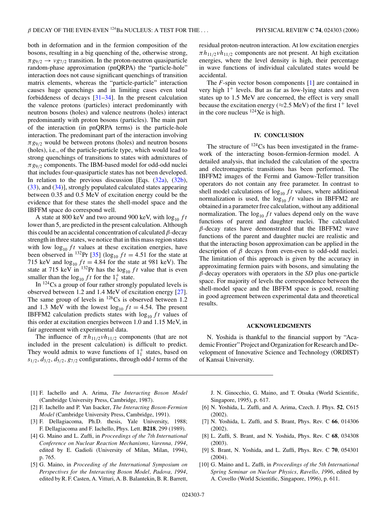<span id="page-7-0"></span>both in deformation and in the fermion composition of the bosons, resulting in a big quenching of the, otherwise strong,  $\pi g_{9/2} \rightarrow \nu g_{7/2}$  transition. In the proton-neutron quasiparticle random-phase approximation (pnQRPA) the "particle-hole" interaction does not cause significant quenchings of transition matrix elements, whereas the "particle-particle" interaction causes huge quenchings and in limiting cases even total forbiddeness of decays [\[31–34\]](#page-8-0). In the present calculation the valence protons (particles) interact predominantly with neutron bosons (holes) and valence neutrons (holes) interact predominantly with proton bosons (particles). The main part of the interaction (in pnQRPA terms) is the particle-hole interaction. The predominant part of the interaction involving  $\pi g_{9/2}$  would be between protons (holes) and neutron bosons (holes), i.e., of the particle-particle type, which would lead to strong quenchings of transitions to states with admixtures of *πg*9*/*<sup>2</sup> components. The IBM-based model for odd-odd nuclei that includes four-quasiparticle states has not been developed. In relation to the previous discussion [Eqs.  $(32a)$ ,  $(32b)$ , [\(33\)](#page-6-0), and [\(34\)](#page-6-0)], strongly populated calculated states appearing between 0.35 and 0.5 MeV of excitation energy could be the evidence that for these states the shell-model space and the IBFFM space do correspond well.

A state at 800 keV and two around 900 keV, with  $\log_{10} ft$ lower than 5, are predicted in the present calculation. Although this could be an accidental concentration of calculated *β*-decay strength in three states, we notice that in this mass region states with low  $\log_{10} ft$  values at these excitation energies, have been observed in <sup>132</sup>Pr [\[35\]](#page-8-0) (log<sub>10</sub>  $ft = 4.51$  for the state at 715 keV and  $log_{10} ft = 4.84$  for the state at 981 keV). The state at 715 keV in  $^{132}$ Pr has the  $\log_{10} ft$  value that is even smaller than the  $\log_{10} ft$  for the  $1^+_1$  state.

In 124Cs a group of four rather strongly populated levels is observed between 1.2 and 1.4 MeV of excitation energy [\[27\]](#page-8-0). The same group of levels in  $^{126}Cs$  is observed between 1.2 and 1.3 MeV with the lowest  $log_{10} ft = 4.54$ . The present IBFFM2 calculation predicts states with  $log_{10} ft$  values of this order at excitation energies between 1.0 and 1.15 MeV, in fair agreement with experimental data.

The influence of  $\pi h_{11/2} v h_{11/2}$  components (that are not included in the present calculation) is difficult to predict. They would admix to wave functions of  $1<sub>1</sub><sup>+</sup>$  states, based on *s*1*/*2*, d*3*/*2*, d*5*/*2*, g*7*/*<sup>2</sup> configurations, through odd-*l* terms of the residual proton-neutron interaction. At low excitation energies  $\pi h_{11/2}$ *νh*<sub>11/2</sub> components are not present. At high excitation energies, where the level density is high, their percentage in wave functions of individual calculated states would be accidental.

The *F*-spin vector boson components [1] are contained in very high  $1^+$  levels. But as far as low-lying states and even states up to 1.5 MeV are concerned, the effect is very small because the excitation energy ( $\approx$ 2.5 MeV) of the first 1<sup>+</sup> level in the core nucleus  $^{124}$ Xe is high.

## **IV. CONCLUSION**

The structure of  $^{124}Cs$  has been investigated in the framework of the interacting boson-fermion-fermion model. A detailed analysis, that included the calculation of the spectra and electromagnetic transitions has been performed. The IBFFM2 images of the Fermi and Gamow-Teller transition operators do not contain any free parameter. In contrast to shell model calculations of  $\log_{10} ft$  values, where additional normalization is used, the  $log_{10} ft$  values in IBFFM2 are obtained in a parameter free calculation, without any additional normalization. The  $\log_{10} ft$  values depend only on the wave functions of parent and daughter nuclei. The calculated *β*-decay rates have demonstrated that the IBFFM2 wave functions of the parent and daughter nuclei are realistic and that the interacting boson approximation can be applied in the description of *β* decays from even-even to odd-odd nuclei. The limitation of this approach is given by the accuracy in approximating fermion pairs with bosons, and simulating the *β*-decay operators with operators in the *SD* plus one-particle space. For majority of levels the correspondence between the shell-model space and the IBFFM space is good, resulting in good agreement between experimental data and theoretical results.

### **ACKNOWLEDGMENTS**

N. Yoshida is thankful to the financial support by "Academic Frontier" Project and Organization for Research and Development of Innovative Science and Technology (ORDIST) of Kansai University.

- [1] F. Iachello and A. Arima, *The Interacting Boson Model* (Cambridge University Press, Cambridge, 1987).
- [2] F. Iachello and P. Van Isacker, *The Interacting Boson-Fermion Model* (Cambridge University Press, Cambridge, 1991).
- [3] F. Dellagiacoma, Ph.D. thesis, Yale University, 1988; F. Dellagiacoma and F. Iachello, Phys. Lett. **B218**, 299 (1989).
- [4] G. Maino and L. Zuffi, in *Proceedings of the 7th International Conference on Nuclear Reaction Mechanisms, Varenna, 1994*, edited by E. Gadioli (University of Milan, Milan, 1994), p. 765.
- [5] G. Maino, in *Proceeding of the International Symposium on Perspectives for the Interacting Boson Model, Padova, 1994*, edited by R. F. Casten, A. Vitturi, A. B. Balantekin, B. R. Barrett,

J. N. Ginocchio, G. Maino, and T. Otsuka (World Scientific, Singapore, 1995), p. 617.

- [6] N. Yoshida, L. Zuffi, and A. Arima, Czech. J. Phys. **52**, C615 (2002).
- [7] N. Yoshida, L. Zuffi, and S. Brant, Phys. Rev. C **66**, 014306 (2002).
- [8] L. Zuffi, S. Brant, and N. Yoshida, Phys. Rev. C **68**, 034308 (2003).
- [9] S. Brant, N. Yoshida, and L. Zuffi, Phys. Rev. C **70**, 054301 (2004).
- [10] G. Maino and L. Zuffi, in *Proceedings of the 5th International Spring Seminar on Nuclear Physics, Ravello, 1996*, edited by A. Covello (World Scientific, Singapore, 1996), p. 611.